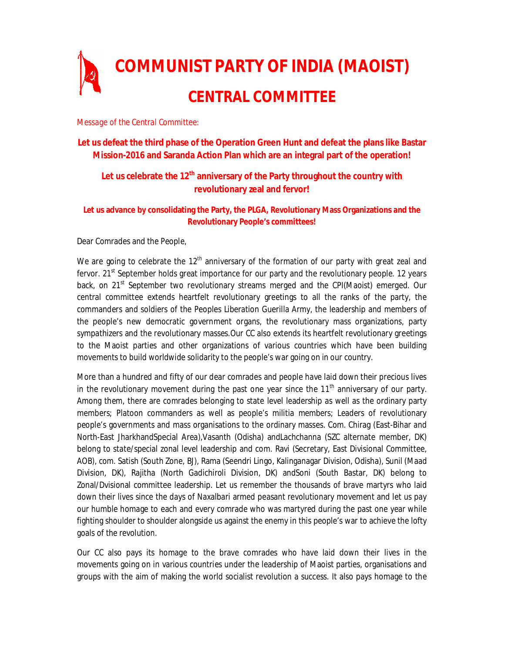

*Message of the Central Committee:*

# **Let us defeat the third phase of the Operation Green Hunt and defeat the plans like Bastar Mission-2016 and Saranda Action Plan which are an integral part of the operation!**

# **Let us celebrate the 12th anniversary of the Party throughout the country with revolutionary zeal and fervor!**

## **Let us advance by consolidating the Party, the PLGA, Revolutionary Mass Organizations and the Revolutionary People's committees!**

Dear Comrades and the People,

We are going to celebrate the  $12<sup>th</sup>$  anniversary of the formation of our party with great zeal and fervor. 21<sup>st</sup> September holds great importance for our party and the revolutionary people. 12 years back, on 21<sup>st</sup> September two revolutionary streams merged and the CPI(Maoist) emerged. Our central committee extends heartfelt revolutionary greetings to all the ranks of the party, the commanders and soldiers of the Peoples Liberation Guerilla Army, the leadership and members of the people's new democratic government organs, the revolutionary mass organizations, party sympathizers and the revolutionary masses.Our CC also extends its heartfelt revolutionary greetings to the Maoist parties and other organizations of various countries which have been building movements to build worldwide solidarity to the people's war going on in our country.

More than a hundred and fifty of our dear comrades and people have laid down their precious lives in the revolutionary movement during the past one year since the  $11<sup>th</sup>$  anniversary of our party. Among them, there are comrades belonging to state level leadership as well as the ordinary party members; Platoon commanders as well as people's militia members; Leaders of revolutionary people's governments and mass organisations to the ordinary masses. Com. Chirag (East-Bihar and North-East JharkhandSpecial Area),Vasanth (Odisha) andLachchanna (SZC alternate member, DK) belong to state/special zonal level leadership and com. Ravi (Secretary, East Divisional Committee, AOB), com. Satish (South Zone, BJ), Rama (Seendri Lingo, Kalinganagar Division, Odisha), Sunil (Maad Division, DK), Rajitha (North Gadichiroli Division, DK) andSoni (South Bastar, DK) belong to Zonal/Dvisional committee leadership. Let us remember the thousands of brave martyrs who laid down their lives since the days of Naxalbari armed peasant revolutionary movement and let us pay our humble homage to each and every comrade who was martyred during the past one year while fighting shoulder to shoulder alongside us against the enemy in this people's war to achieve the lofty goals of the revolution.

Our CC also pays its homage to the brave comrades who have laid down their lives in the movements going on in various countries under the leadership of Maoist parties, organisations and groups with the aim of making the world socialist revolution a success. It also pays homage to the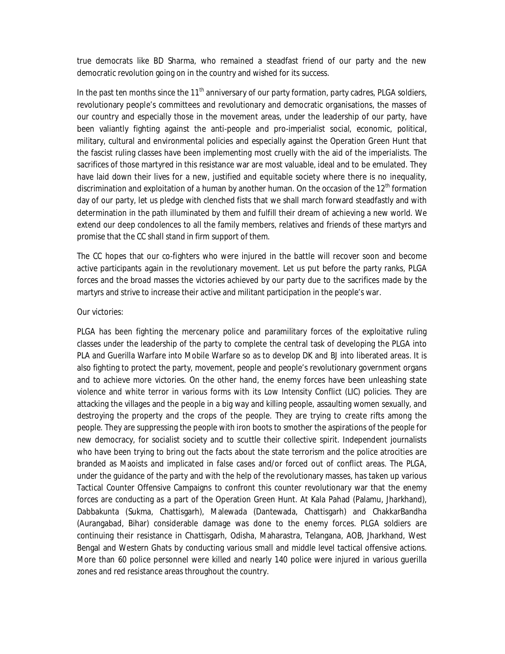true democrats like BD Sharma, who remained a steadfast friend of our party and the new democratic revolution going on in the country and wished for its success.

In the past ten months since the  $11<sup>th</sup>$  anniversary of our party formation, party cadres, PLGA soldiers, revolutionary people's committees and revolutionary and democratic organisations, the masses of our country and especially those in the movement areas, under the leadership of our party, have been valiantly fighting against the anti-people and pro-imperialist social, economic, political, military, cultural and environmental policies and especially against the Operation Green Hunt that the fascist ruling classes have been implementing most cruelly with the aid of the imperialists. The sacrifices of those martyred in this resistance war are most valuable, ideal and to be emulated. They have laid down their lives for a new, justified and equitable society where there is no inequality, discrimination and exploitation of a human by another human. On the occasion of the  $12<sup>th</sup>$  formation day of our party, let us pledge with clenched fists that we shall march forward steadfastly and with determination in the path illuminated by them and fulfill their dream of achieving a new world. We extend our deep condolences to all the family members, relatives and friends of these martyrs and promise that the CC shall stand in firm support of them.

The CC hopes that our co-fighters who were injured in the battle will recover soon and become active participants again in the revolutionary movement. Let us put before the party ranks, PLGA forces and the broad masses the victories achieved by our party due to the sacrifices made by the martyrs and strive to increase their active and militant participation in the people's war.

#### Our victories:

PLGA has been fighting the mercenary police and paramilitary forces of the exploitative ruling classes under the leadership of the party to complete the central task of developing the PLGA into PLA and Guerilla Warfare into Mobile Warfare so as to develop DK and BJ into liberated areas. It is also fighting to protect the party, movement, people and people's revolutionary government organs and to achieve more victories. On the other hand, the enemy forces have been unleashing state violence and white terror in various forms with its Low Intensity Conflict (LIC) policies. They are attacking the villages and the people in a big way and killing people, assaulting women sexually, and destroying the property and the crops of the people. They are trying to create rifts among the people. They are suppressing the people with iron boots to smother the aspirations of the people for new democracy, for socialist society and to scuttle their collective spirit. Independent journalists who have been trying to bring out the facts about the state terrorism and the police atrocities are branded as Maoists and implicated in false cases and/or forced out of conflict areas. The PLGA, under the guidance of the party and with the help of the revolutionary masses, has taken up various Tactical Counter Offensive Campaigns to confront this counter revolutionary war that the enemy forces are conducting as a part of the Operation Green Hunt. At Kala Pahad (Palamu, Jharkhand), Dabbakunta (Sukma, Chattisgarh), Malewada (Dantewada, Chattisgarh) and ChakkarBandha (Aurangabad, Bihar) considerable damage was done to the enemy forces. PLGA soldiers are continuing their resistance in Chattisgarh, Odisha, Maharastra, Telangana, AOB, Jharkhand, West Bengal and Western Ghats by conducting various small and middle level tactical offensive actions. More than 60 police personnel were killed and nearly 140 police were injured in various guerilla zones and red resistance areas throughout the country.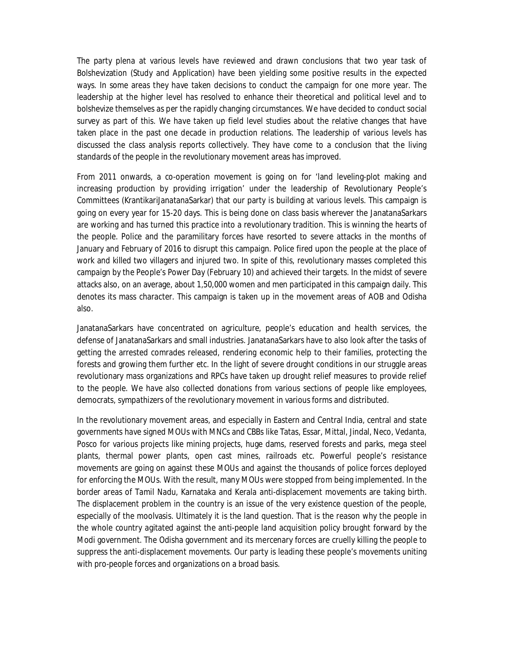The party plena at various levels have reviewed and drawn conclusions that two year task of Bolshevization (Study and Application) have been yielding some positive results in the expected ways. In some areas they have taken decisions to conduct the campaign for one more year. The leadership at the higher level has resolved to enhance their theoretical and political level and to bolshevize themselves as per the rapidly changing circumstances. We have decided to conduct social survey as part of this. We have taken up field level studies about the relative changes that have taken place in the past one decade in production relations. The leadership of various levels has discussed the class analysis reports collectively. They have come to a conclusion that the living standards of the people in the revolutionary movement areas has improved.

From 2011 onwards, a co-operation movement is going on for 'land leveling-plot making and increasing production by providing irrigation' under the leadership of Revolutionary People's Committees (KrantikariJanatanaSarkar) that our party is building at various levels. This campaign is going on every year for 15-20 days. This is being done on class basis wherever the JanatanaSarkars are working and has turned this practice into a revolutionary tradition. This is winning the hearts of the people. Police and the paramilitary forces have resorted to severe attacks in the months of January and February of 2016 to disrupt this campaign. Police fired upon the people at the place of work and killed two villagers and injured two. In spite of this, revolutionary masses completed this campaign by the People's Power Day (February 10) and achieved their targets. In the midst of severe attacks also, on an average, about 1,50,000 women and men participated in this campaign daily. This denotes its mass character. This campaign is taken up in the movement areas of AOB and Odisha also.

JanatanaSarkars have concentrated on agriculture, people's education and health services, the defense of JanatanaSarkars and small industries. JanatanaSarkars have to also look after the tasks of getting the arrested comrades released, rendering economic help to their families, protecting the forests and growing them further etc. In the light of severe drought conditions in our struggle areas revolutionary mass organizations and RPCs have taken up drought relief measures to provide relief to the people. We have also collected donations from various sections of people like employees, democrats, sympathizers of the revolutionary movement in various forms and distributed.

In the revolutionary movement areas, and especially in Eastern and Central India, central and state governments have signed MOUs with MNCs and CBBs like Tatas, Essar, Mittal, Jindal, Neco, Vedanta, Posco for various projects like mining projects, huge dams, reserved forests and parks, mega steel plants, thermal power plants, open cast mines, railroads etc. Powerful people's resistance movements are going on against these MOUs and against the thousands of police forces deployed for enforcing the MOUs. With the result, many MOUs were stopped from being implemented. In the border areas of Tamil Nadu, Karnataka and Kerala anti-displacement movements are taking birth. The displacement problem in the country is an issue of the very existence question of the people, especially of the moolvasis. Ultimately it is the land question. That is the reason why the people in the whole country agitated against the anti-people land acquisition policy brought forward by the Modi government. The Odisha government and its mercenary forces are cruelly killing the people to suppress the anti-displacement movements. Our party is leading these people's movements uniting with pro-people forces and organizations on a broad basis.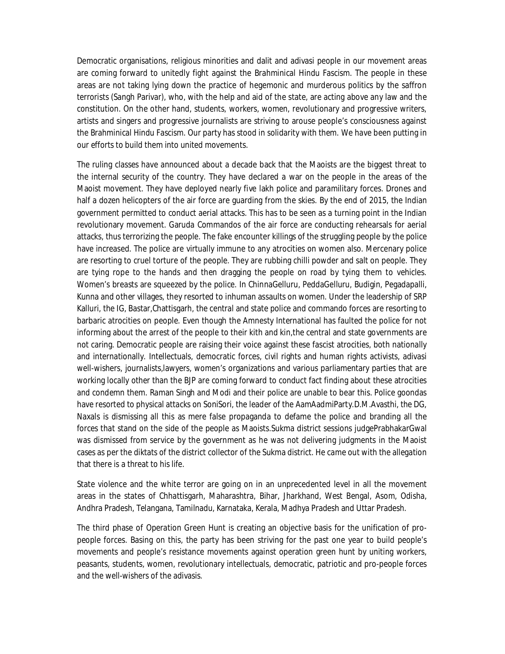Democratic organisations, religious minorities and dalit and adivasi people in our movement areas are coming forward to unitedly fight against the Brahminical Hindu Fascism. The people in these areas are not taking lying down the practice of hegemonic and murderous politics by the saffron terrorists (Sangh Parivar), who, with the help and aid of the state, are acting above any law and the constitution. On the other hand, students, workers, women, revolutionary and progressive writers, artists and singers and progressive journalists are striving to arouse people's consciousness against the Brahminical Hindu Fascism. Our party has stood in solidarity with them. We have been putting in our efforts to build them into united movements.

The ruling classes have announced about a decade back that the Maoists are the biggest threat to the internal security of the country. They have declared a war on the people in the areas of the Maoist movement. They have deployed nearly five lakh police and paramilitary forces. Drones and half a dozen helicopters of the air force are guarding from the skies. By the end of 2015, the Indian government permitted to conduct aerial attacks. This has to be seen as a turning point in the Indian revolutionary movement. Garuda Commandos of the air force are conducting rehearsals for aerial attacks, thus terrorizing the people. The fake encounter killings of the struggling people by the police have increased. The police are virtually immune to any atrocities on women also. Mercenary police are resorting to cruel torture of the people. They are rubbing chilli powder and salt on people. They are tying rope to the hands and then dragging the people on road by tying them to vehicles. Women's breasts are squeezed by the police. In ChinnaGelluru, PeddaGelluru, Budigin, Pegadapalli, Kunna and other villages, they resorted to inhuman assaults on women. Under the leadership of SRP Kalluri, the IG, Bastar,Chattisgarh, the central and state police and commando forces are resorting to barbaric atrocities on people. Even though the Amnesty International has faulted the police for not informing about the arrest of the people to their kith and kin,the central and state governments are not caring. Democratic people are raising their voice against these fascist atrocities, both nationally and internationally. Intellectuals, democratic forces, civil rights and human rights activists, adivasi well-wishers, journalists,lawyers, women's organizations and various parliamentary parties that are working locally other than the BJP are coming forward to conduct fact finding about these atrocities and condemn them. Raman Singh and Modi and their police are unable to bear this. Police goondas have resorted to physical attacks on SoniSori, the leader of the AamAadmiParty.D.M.Avasthi, the DG, Naxals is dismissing all this as mere false propaganda to defame the police and branding all the forces that stand on the side of the people as Maoists.Sukma district sessions judgePrabhakarGwal was dismissed from service by the government as he was not delivering judgments in the Maoist cases as per the diktats of the district collector of the Sukma district. He came out with the allegation that there is a threat to his life.

State violence and the white terror are going on in an unprecedented level in all the movement areas in the states of Chhattisgarh, Maharashtra, Bihar, Jharkhand, West Bengal, Asom, Odisha, Andhra Pradesh, Telangana, Tamilnadu, Karnataka, Kerala, Madhya Pradesh and Uttar Pradesh.

The third phase of Operation Green Hunt is creating an objective basis for the unification of propeople forces. Basing on this, the party has been striving for the past one year to build people's movements and people's resistance movements against operation green hunt by uniting workers, peasants, students, women, revolutionary intellectuals, democratic, patriotic and pro-people forces and the well-wishers of the adivasis.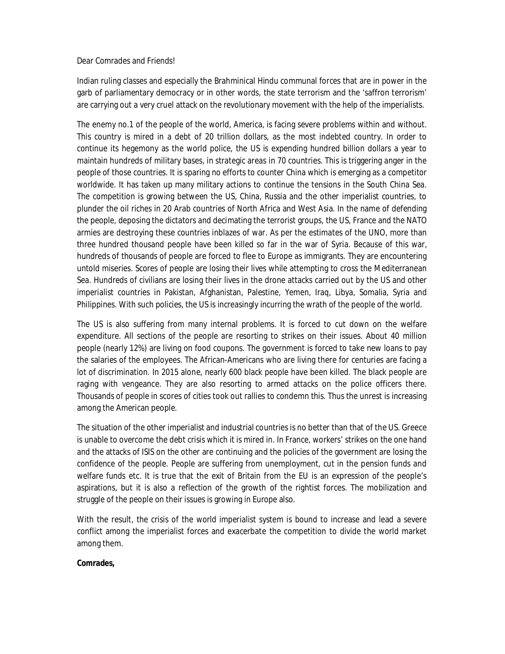#### Dear Comrades and Friends!

Indian ruling classes and especially the Brahminical Hindu communal forces that are in power in the garb of parliamentary democracy or in other words, the state terrorism and the 'saffron terrorism' are carrying out a very cruel attack on the revolutionary movement with the help of the imperialists.

The enemy no.1 of the people of the world, America, is facing severe problems within and without. This country is mired in a debt of 20 trillion dollars, as the most indebted country. In order to continue its hegemony as the world police, the US is expending hundred billion dollars a year to maintain hundreds of military bases, in strategic areas in 70 countries. This is triggering anger in the people of those countries. It is sparing no efforts to counter China which is emerging as a competitor worldwide. It has taken up many military actions to continue the tensions in the South China Sea. The competition is growing between the US, China, Russia and the other imperialist countries, to plunder the oil riches in 20 Arab countries of North Africa and West Asia. In the name of defending the people, deposing the dictators and decimating the terrorist groups, the US, France and the NATO armies are destroying these countries inblazes of war. As per the estimates of the UNO, more than three hundred thousand people have been killed so far in the war of Syria. Because of this war, hundreds of thousands of people are forced to flee to Europe as immigrants. They are encountering untold miseries. Scores of people are losing their lives while attempting to cross the Mediterranean Sea. Hundreds of civilians are losing their lives in the drone attacks carried out by the US and other imperialist countries in Pakistan, Afghanistan, Palestine, Yemen, Iraq, Libya, Somalia, Syria and Philippines. With such policies, the US is increasingly incurring the wrath of the people of the world.

The US is also suffering from many internal problems. It is forced to cut down on the welfare expenditure. All sections of the people are resorting to strikes on their issues. About 40 million people (nearly 12%) are living on food coupons. The government is forced to take new loans to pay the salaries of the employees. The African-Americans who are living there for centuries are facing a lot of discrimination. In 2015 alone, nearly 600 black people have been killed. The black people are raging with vengeance. They are also resorting to armed attacks on the police officers there. Thousands of people in scores of cities took out rallies to condemn this. Thus the unrest is increasing among the American people.

The situation of the other imperialist and industrial countries is no better than that of the US. Greece is unable to overcome the debt crisis which it is mired in. In France, workers' strikes on the one hand and the attacks of ISIS on the other are continuing and the policies of the government are losing the confidence of the people. People are suffering from unemployment, cut in the pension funds and welfare funds etc. It is true that the exit of Britain from the EU is an expression of the people's aspirations, but it is also a reflection of the growth of the rightist forces. The mobilization and struggle of the people on their issues is growing in Europe also.

With the result, the crisis of the world imperialist system is bound to increase and lead a severe conflict among the imperialist forces and exacerbate the competition to divide the world market among them.

### **Comrades,**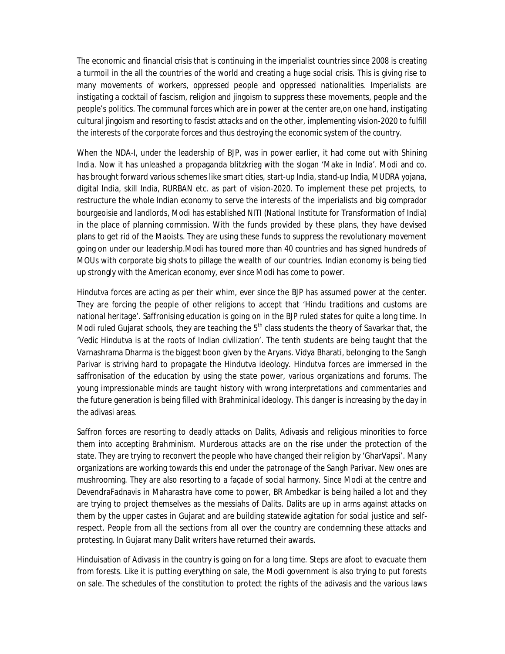The economic and financial crisis that is continuing in the imperialist countries since 2008 is creating a turmoil in the all the countries of the world and creating a huge social crisis. This is giving rise to many movements of workers, oppressed people and oppressed nationalities. Imperialists are instigating a cocktail of fascism, religion and jingoism to suppress these movements, people and the people's politics. The communal forces which are in power at the center are,on one hand, instigating cultural jingoism and resorting to fascist attacks and on the other, implementing vision-2020 to fulfill the interests of the corporate forces and thus destroying the economic system of the country.

When the NDA-I, under the leadership of BJP, was in power earlier, it had come out with Shining India. Now it has unleashed a propaganda blitzkrieg with the slogan 'Make in India'. Modi and co. has brought forward various schemes like smart cities, start-up India, stand-up India, MUDRA yojana, digital India, skill India, RURBAN etc. as part of vision-2020. To implement these pet projects, to restructure the whole Indian economy to serve the interests of the imperialists and big comprador bourgeoisie and landlords, Modi has established NITI (National Institute for Transformation of India) in the place of planning commission. With the funds provided by these plans, they have devised plans to get rid of the Maoists. They are using these funds to suppress the revolutionary movement going on under our leadership.Modi has toured more than 40 countries and has signed hundreds of MOUs with corporate big shots to pillage the wealth of our countries. Indian economy is being tied up strongly with the American economy, ever since Modi has come to power.

Hindutva forces are acting as per their whim, ever since the BJP has assumed power at the center. They are forcing the people of other religions to accept that 'Hindu traditions and customs are national heritage'. Saffronising education is going on in the BJP ruled states for quite a long time. In Modi ruled Gujarat schools, they are teaching the  $5<sup>th</sup>$  class students the theory of Savarkar that, the 'Vedic Hindutva is at the roots of Indian civilization'. The tenth students are being taught that the Varnashrama Dharma is the biggest boon given by the Aryans. Vidya Bharati, belonging to the Sangh Parivar is striving hard to propagate the Hindutva ideology. Hindutva forces are immersed in the saffronisation of the education by using the state power, various organizations and forums. The young impressionable minds are taught history with wrong interpretations and commentaries and the future generation is being filled with Brahminical ideology. This danger is increasing by the day in the adivasi areas.

Saffron forces are resorting to deadly attacks on Dalits, Adivasis and religious minorities to force them into accepting Brahminism. Murderous attacks are on the rise under the protection of the state. They are trying to reconvert the people who have changed their religion by 'GharVapsi'. Many organizations are working towards this end under the patronage of the Sangh Parivar. New ones are mushrooming. They are also resorting to a façade of social harmony. Since Modi at the centre and DevendraFadnavis in Maharastra have come to power, BR Ambedkar is being hailed a lot and they are trying to project themselves as the messiahs of Dalits. Dalits are up in arms against attacks on them by the upper castes in Gujarat and are building statewide agitation for social justice and selfrespect. People from all the sections from all over the country are condemning these attacks and protesting. In Gujarat many Dalit writers have returned their awards.

Hinduisation of Adivasis in the country is going on for a long time. Steps are afoot to evacuate them from forests. Like it is putting everything on sale, the Modi government is also trying to put forests on sale. The schedules of the constitution to protect the rights of the adivasis and the various laws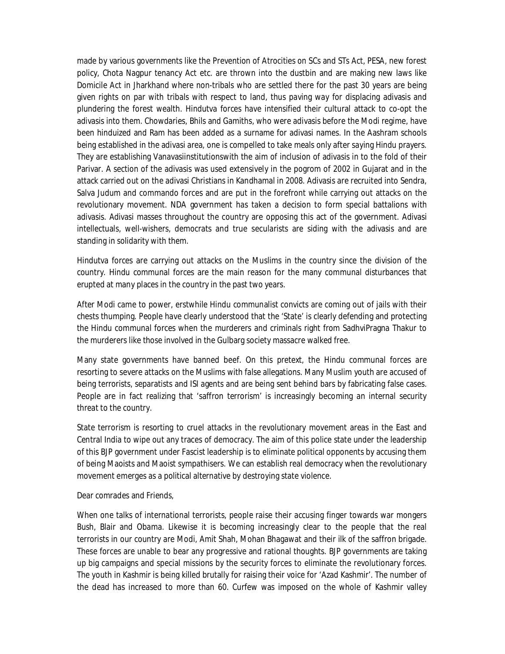made by various governments like the Prevention of Atrocities on SCs and STs Act, PESA, new forest policy, Chota Nagpur tenancy Act etc. are thrown into the dustbin and are making new laws like Domicile Act in Jharkhand where non-tribals who are settled there for the past 30 years are being given rights on par with tribals with respect to land, thus paving way for displacing adivasis and plundering the forest wealth. Hindutva forces have intensified their cultural attack to co-opt the adivasis into them. Chowdaries, Bhils and Gamiths, who were adivasis before the Modi regime, have been hinduized and Ram has been added as a surname for adivasi names. In the Aashram schools being established in the adivasi area, one is compelled to take meals only after saying Hindu prayers. They are establishing Vanavasiinstitutionswith the aim of inclusion of adivasis in to the fold of their Parivar. A section of the adivasis was used extensively in the pogrom of 2002 in Gujarat and in the attack carried out on the adivasi Christians in Kandhamal in 2008. Adivasis are recruited into Sendra, Salva Judum and commando forces and are put in the forefront while carrying out attacks on the revolutionary movement. NDA government has taken a decision to form special battalions with adivasis. Adivasi masses throughout the country are opposing this act of the government. Adivasi intellectuals, well-wishers, democrats and true secularists are siding with the adivasis and are standing in solidarity with them.

Hindutva forces are carrying out attacks on the Muslims in the country since the division of the country. Hindu communal forces are the main reason for the many communal disturbances that erupted at many places in the country in the past two years.

After Modi came to power, erstwhile Hindu communalist convicts are coming out of jails with their chests thumping. People have clearly understood that the 'State' is clearly defending and protecting the Hindu communal forces when the murderers and criminals right from SadhviPragna Thakur to the murderers like those involved in the Gulbarg society massacre walked free.

Many state governments have banned beef. On this pretext, the Hindu communal forces are resorting to severe attacks on the Muslims with false allegations. Many Muslim youth are accused of being terrorists, separatists and ISI agents and are being sent behind bars by fabricating false cases. People are in fact realizing that 'saffron terrorism' is increasingly becoming an internal security threat to the country.

State terrorism is resorting to cruel attacks in the revolutionary movement areas in the East and Central India to wipe out any traces of democracy. The aim of this police state under the leadership of this BJP government under Fascist leadership is to eliminate political opponents by accusing them of being Maoists and Maoist sympathisers. We can establish real democracy when the revolutionary movement emerges as a political alternative by destroying state violence.

#### Dear comrades and Friends,

When one talks of international terrorists, people raise their accusing finger towards war mongers Bush, Blair and Obama. Likewise it is becoming increasingly clear to the people that the real terrorists in our country are Modi, Amit Shah, Mohan Bhagawat and their ilk of the saffron brigade. These forces are unable to bear any progressive and rational thoughts. BJP governments are taking up big campaigns and special missions by the security forces to eliminate the revolutionary forces. The youth in Kashmir is being killed brutally for raising their voice for 'Azad Kashmir'. The number of the dead has increased to more than 60. Curfew was imposed on the whole of Kashmir valley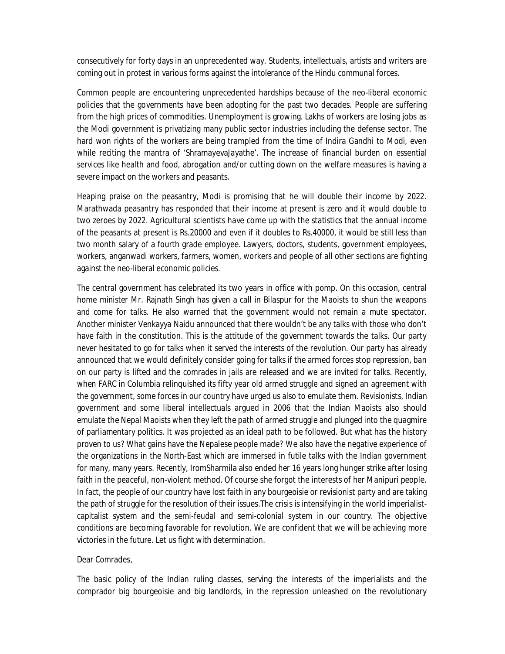consecutively for forty days in an unprecedented way. Students, intellectuals, artists and writers are coming out in protest in various forms against the intolerance of the Hindu communal forces.

Common people are encountering unprecedented hardships because of the neo-liberal economic policies that the governments have been adopting for the past two decades. People are suffering from the high prices of commodities. Unemployment is growing. Lakhs of workers are losing jobs as the Modi government is privatizing many public sector industries including the defense sector. The hard won rights of the workers are being trampled from the time of Indira Gandhi to Modi, even while reciting the mantra of 'ShramayevaJayathe'. The increase of financial burden on essential services like health and food, abrogation and/or cutting down on the welfare measures is having a severe impact on the workers and peasants.

Heaping praise on the peasantry, Modi is promising that he will double their income by 2022. Marathwada peasantry has responded that their income at present is zero and it would double to two zeroes by 2022. Agricultural scientists have come up with the statistics that the annual income of the peasants at present is Rs.20000 and even if it doubles to Rs.40000, it would be still less than two month salary of a fourth grade employee. Lawyers, doctors, students, government employees, workers, anganwadi workers, farmers, women, workers and people of all other sections are fighting against the neo-liberal economic policies.

The central government has celebrated its two years in office with pomp. On this occasion, central home minister Mr. Rajnath Singh has given a call in Bilaspur for the Maoists to shun the weapons and come for talks. He also warned that the government would not remain a mute spectator. Another minister Venkayya Naidu announced that there wouldn't be any talks with those who don't have faith in the constitution. This is the attitude of the government towards the talks. Our party never hesitated to go for talks when it served the interests of the revolution. Our party has already announced that we would definitely consider going for talks if the armed forces stop repression, ban on our party is lifted and the comrades in jails are released and we are invited for talks. Recently, when FARC in Columbia relinquished its fifty year old armed struggle and signed an agreement with the government, some forces in our country have urged us also to emulate them. Revisionists, Indian government and some liberal intellectuals argued in 2006 that the Indian Maoists also should emulate the Nepal Maoists when they left the path of armed struggle and plunged into the quagmire of parliamentary politics. It was projected as an ideal path to be followed. But what has the history proven to us? What gains have the Nepalese people made? We also have the negative experience of the organizations in the North-East which are immersed in futile talks with the Indian government for many, many years. Recently, IromSharmila also ended her 16 years long hunger strike after losing faith in the peaceful, non-violent method. Of course she forgot the interests of her Manipuri people. In fact, the people of our country have lost faith in any bourgeoisie or revisionist party and are taking the path of struggle for the resolution of their issues.The crisis is intensifying in the world imperialistcapitalist system and the semi-feudal and semi-colonial system in our country. The objective conditions are becoming favorable for revolution. We are confident that we will be achieving more victories in the future. Let us fight with determination.

#### Dear Comrades,

The basic policy of the Indian ruling classes, serving the interests of the imperialists and the comprador big bourgeoisie and big landlords, in the repression unleashed on the revolutionary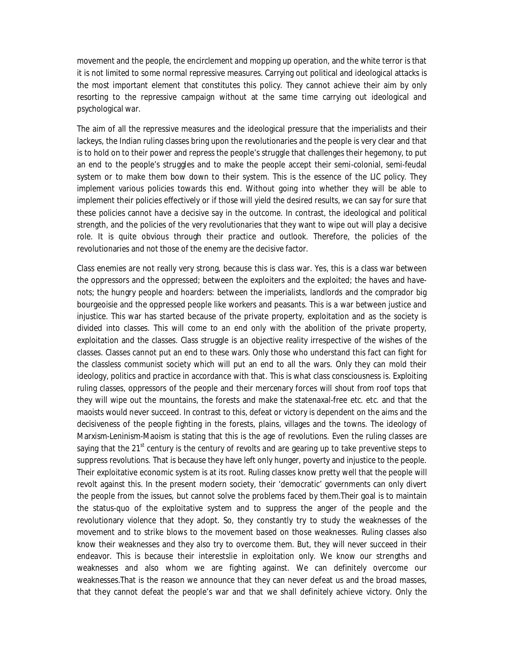movement and the people, the encirclement and mopping up operation, and the white terror is that it is not limited to some normal repressive measures. Carrying out political and ideological attacks is the most important element that constitutes this policy. They cannot achieve their aim by only resorting to the repressive campaign without at the same time carrying out ideological and psychological war.

The aim of all the repressive measures and the ideological pressure that the imperialists and their lackeys, the Indian ruling classes bring upon the revolutionaries and the people is very clear and that is to hold on to their power and repress the people's struggle that challenges their hegemony, to put an end to the people's struggles and to make the people accept their semi-colonial, semi-feudal system or to make them bow down to their system. This is the essence of the LIC policy. They implement various policies towards this end. Without going into whether they will be able to implement their policies effectively or if those will yield the desired results, we can say for sure that these policies cannot have a decisive say in the outcome. In contrast, the ideological and political strength, and the policies of the very revolutionaries that they want to wipe out will play a decisive role. It is quite obvious through their practice and outlook. Therefore, the policies of the revolutionaries and not those of the enemy are the decisive factor.

Class enemies are not really very strong, because this is class war. Yes, this is a class war between the oppressors and the oppressed; between the exploiters and the exploited; the haves and havenots; the hungry people and hoarders: between the imperialists, landlords and the comprador big bourgeoisie and the oppressed people like workers and peasants. This is a war between justice and injustice. This war has started because of the private property, exploitation and as the society is divided into classes. This will come to an end only with the abolition of the private property, exploitation and the classes. Class struggle is an objective reality irrespective of the wishes of the classes. Classes cannot put an end to these wars. Only those who understand this fact can fight for the classless communist society which will put an end to all the wars. Only they can mold their ideology, politics and practice in accordance with that. This is what class consciousness is. Exploiting ruling classes, oppressors of the people and their mercenary forces will shout from roof tops that they will wipe out the mountains, the forests and make the statenaxal-free etc. etc. and that the maoists would never succeed. In contrast to this, defeat or victory is dependent on the aims and the decisiveness of the people fighting in the forests, plains, villages and the towns. The ideology of Marxism-Leninism-Maoism is stating that this is the age of revolutions. Even the ruling classes are saying that the  $21<sup>st</sup>$  century is the century of revolts and are gearing up to take preventive steps to suppress revolutions. That is because they have left only hunger, poverty and injustice to the people. Their exploitative economic system is at its root. Ruling classes know pretty well that the people will revolt against this. In the present modern society, their 'democratic' governments can only divert the people from the issues, but cannot solve the problems faced by them.Their goal is to maintain the status-quo of the exploitative system and to suppress the anger of the people and the revolutionary violence that they adopt. So, they constantly try to study the weaknesses of the movement and to strike blows to the movement based on those weaknesses. Ruling classes also know their weaknesses and they also try to overcome them. But, they will never succeed in their endeavor. This is because their interestslie in exploitation only. We know our strengths and weaknesses and also whom we are fighting against. We can definitely overcome our weaknesses.That is the reason we announce that they can never defeat us and the broad masses, that they cannot defeat the people's war and that we shall definitely achieve victory. Only the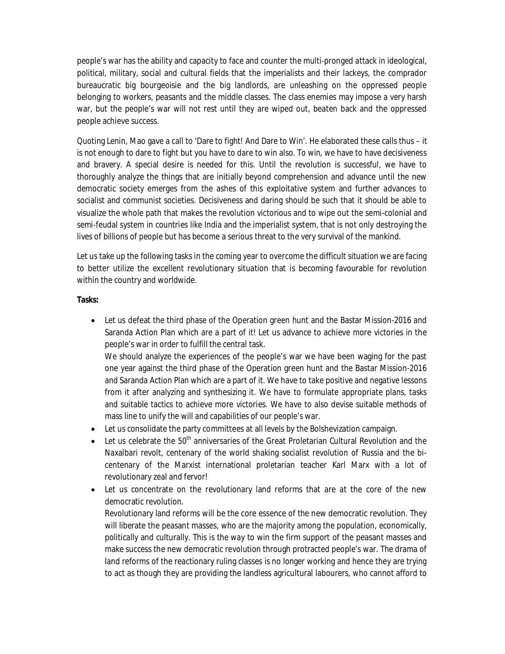people's war has the ability and capacity to face and counter the multi-pronged attack in ideological, political, military, social and cultural fields that the imperialists and their lackeys, the comprador bureaucratic big bourgeoisie and the big landlords, are unleashing on the oppressed people belonging to workers, peasants and the middle classes. The class enemies may impose a very harsh war, but the people's war will not rest until they are wiped out, beaten back and the oppressed people achieve success.

Quoting Lenin, Mao gave a call to 'Dare to fight! And Dare to Win'. He elaborated these calls thus – it is not enough to dare to fight but you have to dare to win also. To win, we have to have decisiveness and bravery. A special desire is needed for this. Until the revolution is successful, we have to thoroughly analyze the things that are initially beyond comprehension and advance until the new democratic society emerges from the ashes of this exploitative system and further advances to socialist and communist societies. Decisiveness and daring should be such that it should be able to visualize the whole path that makes the revolution victorious and to wipe out the semi-colonial and semi-feudal system in countries like India and the imperialist system, that is not only destroying the lives of billions of people but has become a serious threat to the very survival of the mankind.

Let us take up the following tasks in the coming year to overcome the difficult situation we are facing to better utilize the excellent revolutionary situation that is becoming favourable for revolution within the country and worldwide.

### **Tasks:**

 Let us defeat the third phase of the Operation green hunt and the Bastar Mission-2016 and Saranda Action Plan which are a part of it! Let us advance to achieve more victories in the people's war in order to fulfill the central task.

We should analyze the experiences of the people's war we have been waging for the past one year against the third phase of the Operation green hunt and the Bastar Mission-2016 and Saranda Action Plan which are a part of it. We have to take positive and negative lessons from it after analyzing and synthesizing it. We have to formulate appropriate plans, tasks and suitable tactics to achieve more victories. We have to also devise suitable methods of mass line to unify the will and capabilities of our people's war.

- Let us consolidate the party committees at all levels by the Bolshevization campaign.
- $\bullet$  Let us celebrate the 50<sup>th</sup> anniversaries of the Great Proletarian Cultural Revolution and the Naxalbari revolt, centenary of the world shaking socialist revolution of Russia and the bicentenary of the Marxist international proletarian teacher Karl Marx with a lot of revolutionary zeal and fervor!
- Let us concentrate on the revolutionary land reforms that are at the core of the new democratic revolution.

Revolutionary land reforms will be the core essence of the new democratic revolution. They will liberate the peasant masses, who are the majority among the population, economically, politically and culturally. This is the way to win the firm support of the peasant masses and make success the new democratic revolution through protracted people's war. The drama of land reforms of the reactionary ruling classes is no longer working and hence they are trying to act as though they are providing the landless agricultural labourers, who cannot afford to